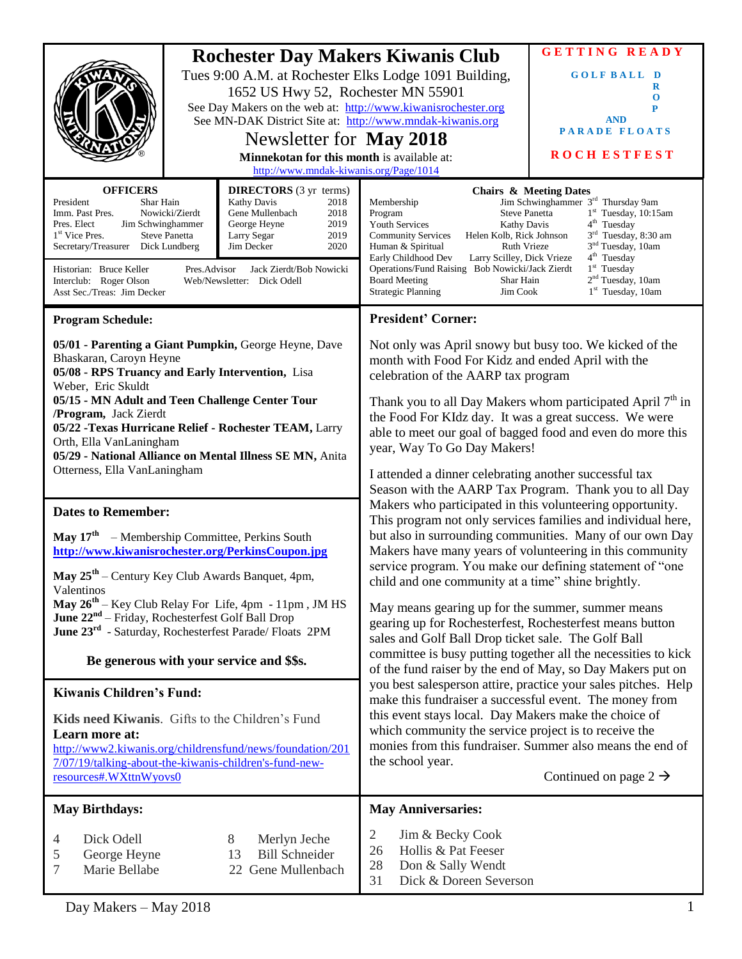| <b>OFFICERS</b><br>President<br>Shar Hain<br>Imm. Past Pres.<br>Jim Schwinghammer<br>Pres. Elect<br>1 <sup>st</sup> Vice Pres.<br>Secretary/Treasurer Dick Lundberg<br>Historian: Bruce Keller                                                                                                                                                                                                                                                                    | <b>Rochester Day Makers Kiwanis Club</b><br>Tues 9:00 A.M. at Rochester Elks Lodge 1091 Building,<br>1652 US Hwy 52, Rochester MN 55901<br>See Day Makers on the web at: http://www.kiwanisrochester.org<br>See MN-DAK District Site at: http://www.mndak-kiwanis.org<br>Newsletter for May 2018<br>Minnekotan for this month is available at:<br>http://www.mndak-kiwanis.org/Page/1014<br><b>DIRECTORS</b> (3 yr terms)<br><b>Kathy Davis</b><br>2018<br>2018<br>Nowicki/Zierdt<br>Gene Mullenbach<br>George Heyne<br>2019<br>2019<br><b>Steve Panetta</b><br>Larry Segar<br>2020<br>Jim Decker<br>Pres.Advisor<br>Jack Zierdt/Bob Nowicki |                                                                        | Membership<br>Program<br><b>Steve Panetta</b><br><b>Youth Services</b><br><b>Kathy Davis</b><br><b>Community Services</b><br>Helen Kolb, Rick Johnson<br>Human & Spiritual<br><b>Ruth Vrieze</b><br>Early Childhood Dev<br>Larry Scilley, Dick Vrieze<br>Operations/Fund Raising Bob Nowicki/Jack Zierdt                                                                                                                                                                                                                                                                                                                                                                                                                                                                                                                                                                                                                                                                                                                                         | <b>GETTING READY</b><br><b>GOLFBALL D</b><br>R<br>$\bf{0}$<br>P<br><b>AND</b><br><b>PARADE FLOATS</b><br><b>ROCH ESTFEST</b><br><b>Chairs &amp; Meeting Dates</b><br>Jim Schwinghammer 3 <sup>rd</sup> Thursday 9am<br>$1st$ Tuesday, 10:15am<br>4 <sup>th</sup> Tuesday<br>3 <sup>rd</sup> Tuesday, 8:30 am<br>3 <sup>nd</sup> Tuesday, 10am<br>4 <sup>th</sup> Tuesday<br>$1st$ Tuesday |
|-------------------------------------------------------------------------------------------------------------------------------------------------------------------------------------------------------------------------------------------------------------------------------------------------------------------------------------------------------------------------------------------------------------------------------------------------------------------|----------------------------------------------------------------------------------------------------------------------------------------------------------------------------------------------------------------------------------------------------------------------------------------------------------------------------------------------------------------------------------------------------------------------------------------------------------------------------------------------------------------------------------------------------------------------------------------------------------------------------------------------|------------------------------------------------------------------------|--------------------------------------------------------------------------------------------------------------------------------------------------------------------------------------------------------------------------------------------------------------------------------------------------------------------------------------------------------------------------------------------------------------------------------------------------------------------------------------------------------------------------------------------------------------------------------------------------------------------------------------------------------------------------------------------------------------------------------------------------------------------------------------------------------------------------------------------------------------------------------------------------------------------------------------------------------------------------------------------------------------------------------------------------|-------------------------------------------------------------------------------------------------------------------------------------------------------------------------------------------------------------------------------------------------------------------------------------------------------------------------------------------------------------------------------------------|
| Interclub: Roger Olson<br>Web/Newsletter: Dick Odell<br>Asst Sec./Treas: Jim Decker                                                                                                                                                                                                                                                                                                                                                                               |                                                                                                                                                                                                                                                                                                                                                                                                                                                                                                                                                                                                                                              |                                                                        | 2 <sup>nd</sup> Tuesday, 10am<br><b>Board Meeting</b><br>Shar Hain<br>$1st$ Tuesday, 10am<br><b>Strategic Planning</b><br>Jim Cook                                                                                                                                                                                                                                                                                                                                                                                                                                                                                                                                                                                                                                                                                                                                                                                                                                                                                                               |                                                                                                                                                                                                                                                                                                                                                                                           |
| <b>Program Schedule:</b><br>05/01 - Parenting a Giant Pumpkin, George Heyne, Dave<br>Bhaskaran, Caroyn Heyne<br>05/08 - RPS Truancy and Early Intervention, Lisa<br>Weber, Eric Skuldt<br>05/15 - MN Adult and Teen Challenge Center Tour<br>/Program, Jack Zierdt<br>05/22 - Texas Hurricane Relief - Rochester TEAM, Larry<br>Orth, Ella VanLaningham<br>05/29 - National Alliance on Mental Illness SE MN, Anita<br>Otterness, Ella VanLaningham               |                                                                                                                                                                                                                                                                                                                                                                                                                                                                                                                                                                                                                                              |                                                                        | <b>President' Corner:</b><br>Not only was April snowy but busy too. We kicked of the<br>month with Food For Kidz and ended April with the<br>celebration of the AARP tax program<br>Thank you to all Day Makers whom participated April $7m$ in<br>the Food For KIdz day. It was a great success. We were<br>able to meet our goal of bagged food and even do more this<br>year, Way To Go Day Makers!<br>I attended a dinner celebrating another successful tax<br>Season with the AARP Tax Program. Thank you to all Day                                                                                                                                                                                                                                                                                                                                                                                                                                                                                                                       |                                                                                                                                                                                                                                                                                                                                                                                           |
| <b>Dates to Remember:</b><br><b>May 17<sup>th</sup></b> – Membership Committee, Perkins South<br>http://www.kiwanisrochester.org/PerkinsCoupon.jpg<br>May $25th$ – Century Key Club Awards Banquet, 4pm,<br>Valentinos<br>May 26 <sup>th</sup> – Key Club Relay For Life, 4pm - 11pm, JM HS<br>June 22 <sup>nd</sup> - Friday, Rochesterfest Golf Ball Drop<br>June 23rd - Saturday, Rochesterfest Parade/ Floats 2PM<br>Be generous with your service and \$\$s. |                                                                                                                                                                                                                                                                                                                                                                                                                                                                                                                                                                                                                                              |                                                                        | Makers who participated in this volunteering opportunity.<br>This program not only services families and individual here,<br>but also in surrounding communities. Many of our own Day<br>Makers have many years of volunteering in this community<br>service program. You make our defining statement of "one<br>child and one community at a time" shine brightly.<br>May means gearing up for the summer, summer means<br>gearing up for Rochesterfest, Rochesterfest means button<br>sales and Golf Ball Drop ticket sale. The Golf Ball<br>committee is busy putting together all the necessities to kick<br>of the fund raiser by the end of May, so Day Makers put on<br>you best salesperson attire, practice your sales pitches. Help<br>make this fundraiser a successful event. The money from<br>this event stays local. Day Makers make the choice of<br>which community the service project is to receive the<br>monies from this fundraiser. Summer also means the end of<br>the school year.<br>Continued on page $2 \rightarrow$ |                                                                                                                                                                                                                                                                                                                                                                                           |
| <b>Kiwanis Children's Fund:</b><br>Kids need Kiwanis. Gifts to the Children's Fund<br>Learn more at:<br>http://www2.kiwanis.org/childrensfund/news/foundation/201<br>7/07/19/talking-about-the-kiwanis-children's-fund-new-<br>resources#.WXttnWyovs0                                                                                                                                                                                                             |                                                                                                                                                                                                                                                                                                                                                                                                                                                                                                                                                                                                                                              |                                                                        |                                                                                                                                                                                                                                                                                                                                                                                                                                                                                                                                                                                                                                                                                                                                                                                                                                                                                                                                                                                                                                                  |                                                                                                                                                                                                                                                                                                                                                                                           |
| <b>May Birthdays:</b>                                                                                                                                                                                                                                                                                                                                                                                                                                             |                                                                                                                                                                                                                                                                                                                                                                                                                                                                                                                                                                                                                                              |                                                                        | <b>May Anniversaries:</b>                                                                                                                                                                                                                                                                                                                                                                                                                                                                                                                                                                                                                                                                                                                                                                                                                                                                                                                                                                                                                        |                                                                                                                                                                                                                                                                                                                                                                                           |
| Dick Odell<br>4<br>George Heyne<br>5<br>7<br>Marie Bellabe                                                                                                                                                                                                                                                                                                                                                                                                        |                                                                                                                                                                                                                                                                                                                                                                                                                                                                                                                                                                                                                                              | 8<br>Merlyn Jeche<br><b>Bill Schneider</b><br>13<br>22 Gene Mullenbach | 2<br>Jim & Becky Cook<br>Hollis & Pat Feeser<br>26<br>28<br>Don & Sally Wendt<br>Dick & Doreen Severson<br>31                                                                                                                                                                                                                                                                                                                                                                                                                                                                                                                                                                                                                                                                                                                                                                                                                                                                                                                                    |                                                                                                                                                                                                                                                                                                                                                                                           |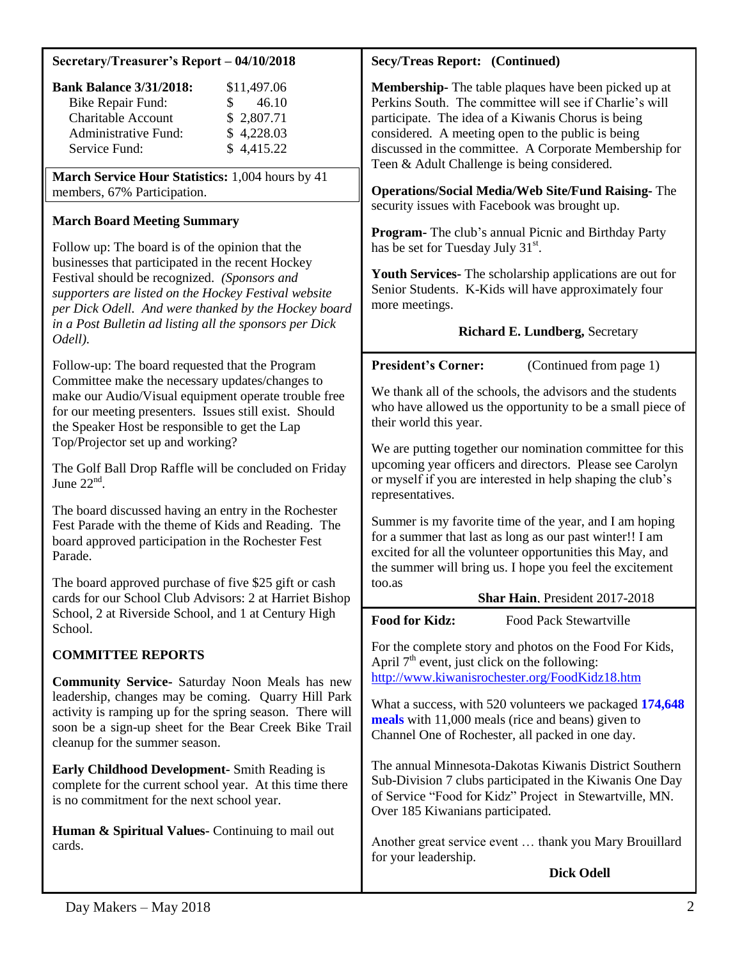## **Secretary/Treasurer's Report – 04/10/2018**

| <b>Bank Balance 3/31/2018:</b> | \$11,497.06 |
|--------------------------------|-------------|
| <b>Bike Repair Fund:</b>       | 46.10       |
| <b>Charitable Account</b>      | \$2,807.71  |
| Administrative Fund:           | \$4,228.03  |
| Service Fund:                  | \$4,415.22  |

**March Service Hour Statistics:** 1,004 hours by 41 members, 67% Participation.

## **March Board Meeting Summary**

Follow up: The board is of the opinion that the businesses that participated in the recent Hockey Festival should be recognized. *(Sponsors and supporters are listed on the Hockey Festival website per Dick Odell. And were thanked by the Hockey board in a Post Bulletin ad listing all the sponsors per Dick Odell).*

Follow-up: The board requested that the Program Committee make the necessary updates/changes to make our Audio/Visual equipment operate trouble free for our meeting presenters. Issues still exist. Should the Speaker Host be responsible to get the Lap Top/Projector set up and working?

The Golf Ball Drop Raffle will be concluded on Friday June  $22<sup>nd</sup>$ .

The board discussed having an entry in the Rochester Fest Parade with the theme of Kids and Reading. The board approved participation in the Rochester Fest Parade.

The board approved purchase of five \$25 gift or cash cards for our School Club Advisors: 2 at Harriet Bishop School, 2 at Riverside School, and 1 at Century High School.

## **COMMITTEE REPORTS**

**Community Service-** Saturday Noon Meals has new leadership, changes may be coming. Quarry Hill Park activity is ramping up for the spring season. There will soon be a sign-up sheet for the Bear Creek Bike Trail cleanup for the summer season.

**Early Childhood Development-** Smith Reading is complete for the current school year. At this time there is no commitment for the next school year.

**Human & Spiritual Values-** Continuing to mail out cards.

## **Secy/Treas Report: (Continued)**

**Membership-** The table plaques have been picked up at Perkins South. The committee will see if Charlie's will participate. The idea of a Kiwanis Chorus is being considered. A meeting open to the public is being discussed in the committee. A Corporate Membership for Teen & Adult Challenge is being considered.

**Operations/Social Media/Web Site/Fund Raising-** The security issues with Facebook was brought up.

**Program-** The club's annual Picnic and Birthday Party has be set for Tuesday July 31<sup>st</sup>.

**Youth Services-** The scholarship applications are out for Senior Students. K-Kids will have approximately four more meetings.

## **Richard E. Lundberg,** Secretary

**President's Corner:** (Continued from page 1)

We thank all of the schools, the advisors and the students who have allowed us the opportunity to be a small piece of their world this year.

We are putting together our nomination committee for this upcoming year officers and directors. Please see Carolyn or myself if you are interested in help shaping the club's representatives.

Summer is my favorite time of the year, and I am hoping for a summer that last as long as our past winter!! I am excited for all the volunteer opportunities this May, and the summer will bring us. I hope you feel the excitement too.as

#### **Shar Hain**, President 2017-2018

**Food for Kidz:** Food Pack Stewartville

For the complete story and photos on the Food For Kids, April  $7<sup>th</sup>$  event, just click on the following: <http://www.kiwanisrochester.org/FoodKidz18.htm>

What a success, with 520 volunteers we packaged **174,648 meals** with 11,000 meals (rice and beans) given to Channel One of Rochester, all packed in one day.

The annual Minnesota-Dakotas Kiwanis District Southern Sub-Division 7 clubs participated in the Kiwanis One Day of Service "Food for Kidz" Project in Stewartville, MN. Over 185 Kiwanians participated.

Another great service event … thank you Mary Brouillard for your leadership.

**Dick Odell**